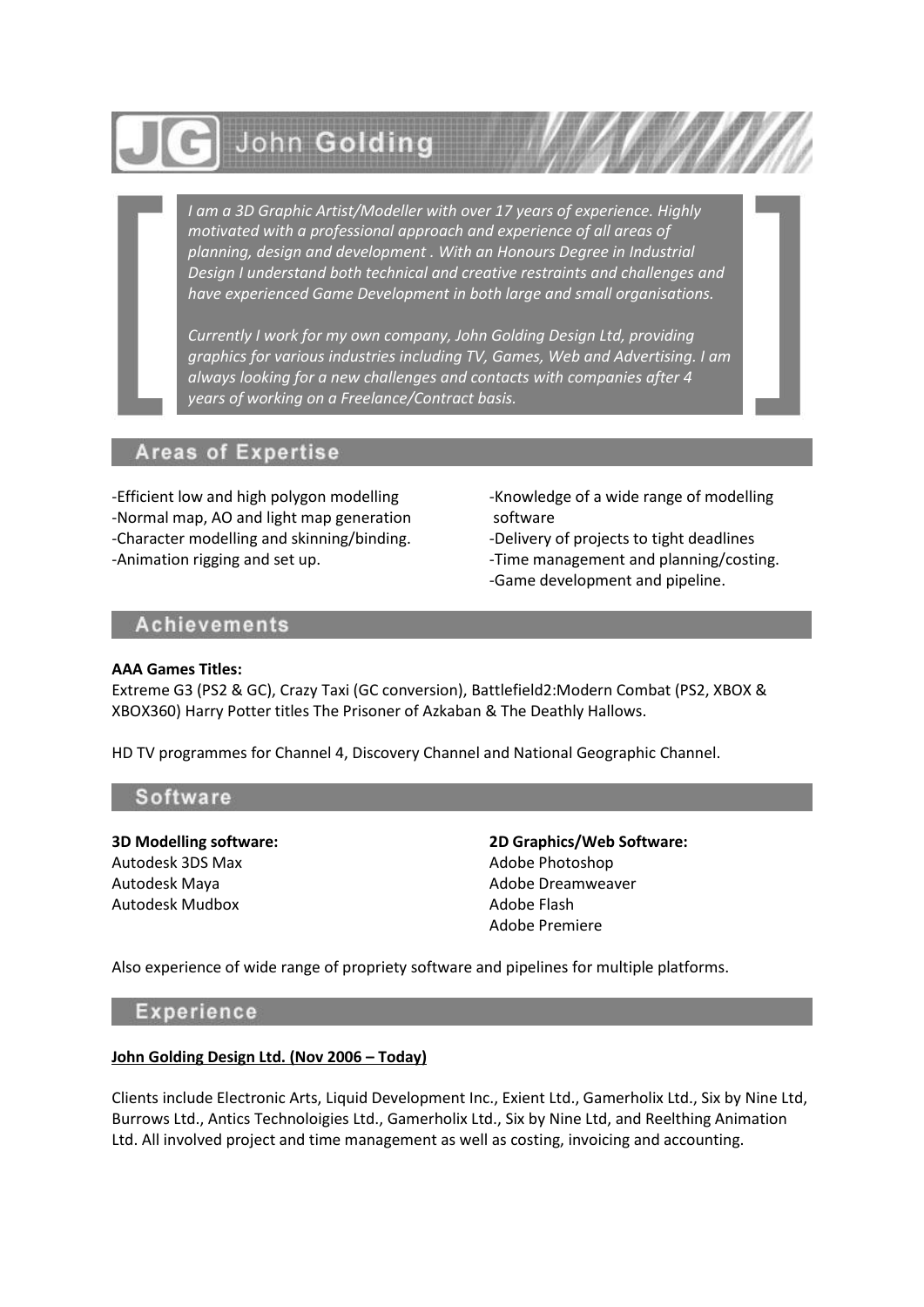

*I am a 3D Graphic Artist/Modeller with over 17 years of experience. Highly motivated with a professional approach and experience of all areas of planning, design and development . With an Honours Degree in Industrial Design I understand both technical and creative restraints and challenges and have experienced Game Development in both large and small organisations.*

*Currently I work for my own company, John Golding Design Ltd, providing graphics for various industries including TV, Games, Web and Advertising. I am always looking for a new challenges and contacts with companies after 4 years of working on a Freelance/Contract basis.*

# **Areas of Expertise**

-Efficient low and high polygon modelling -Normal map, AO and light map generation -Character modelling and skinning/binding. -Animation rigging and set up.

-Knowledge of a wide range of modelling software

-Delivery of projects to tight deadlines

-Time management and planning/costing. -Game development and pipeline.

## **Achievements**

#### **AAA Games Titles:**

Extreme G3 (PS2 & GC), Crazy Taxi (GC conversion), Battlefield2:Modern Combat (PS2, XBOX & XBOX360) Harry Potter titles The Prisoner of Azkaban & The Deathly Hallows.

HD TV programmes for Channel 4, Discovery Channel and National Geographic Channel.

### Software

**3D Modelling software:** Autodesk 3DS Max Autodesk Maya Autodesk Mudbox

**2D Graphics/Web Software:** Adobe Photoshop Adobe Dreamweaver Adobe Flash Adobe Premiere

Also experience of wide range of propriety software and pipelines for multiple platforms.

## **Experience**

#### **John Golding Design Ltd. (Nov 2006 – Today)**

Clients include Electronic Arts, Liquid Development Inc., Exient Ltd., Gamerholix Ltd., Six by Nine Ltd, Burrows Ltd., Antics Technoloigies Ltd., Gamerholix Ltd., Six by Nine Ltd, and Reelthing Animation Ltd. All involved project and time management as well as costing, invoicing and accounting.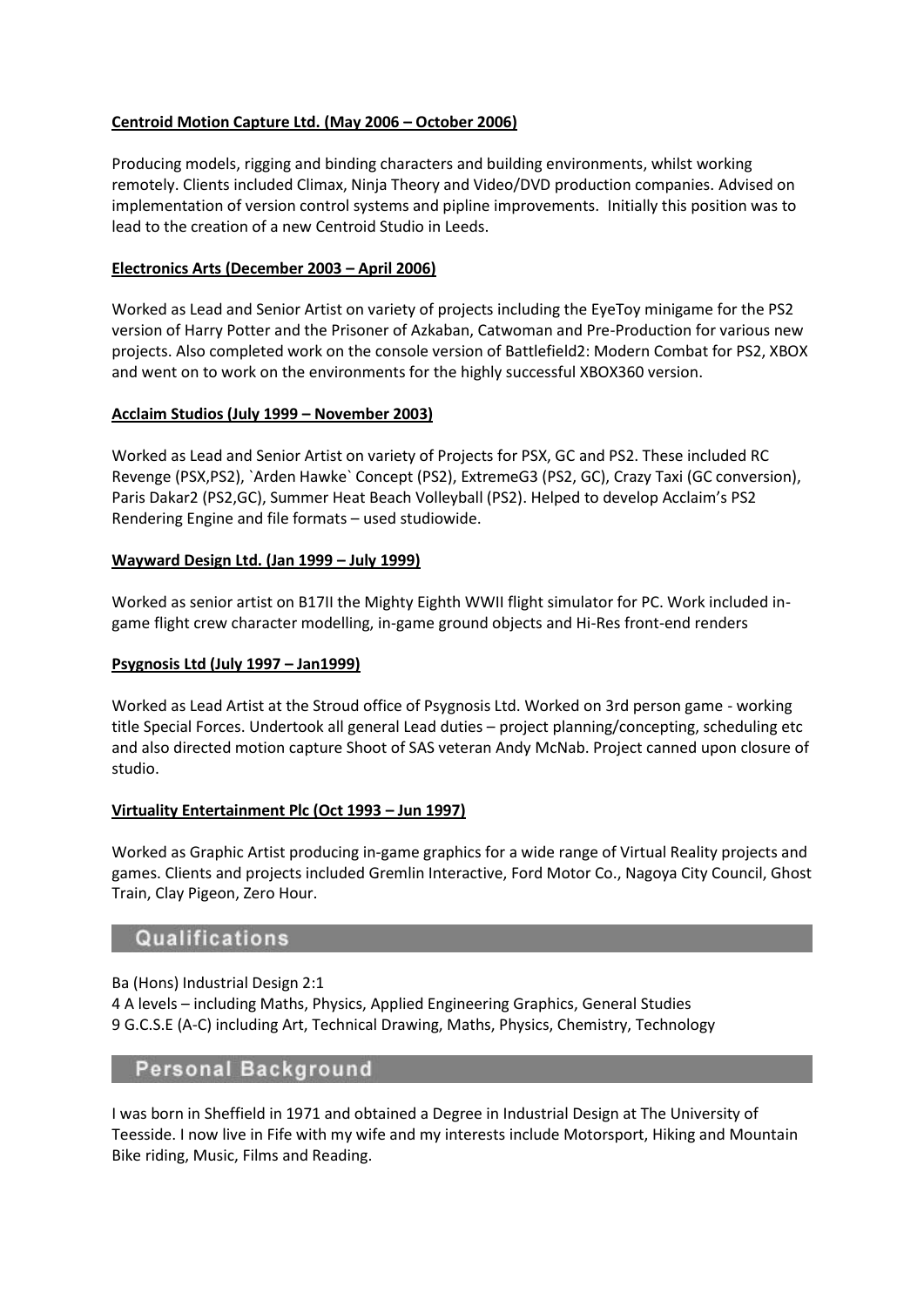## **Centroid Motion Capture Ltd. (May 2006 – October 2006)**

Producing models, rigging and binding characters and building environments, whilst working remotely. Clients included Climax, Ninja Theory and Video/DVD production companies. Advised on implementation of version control systems and pipline improvements. Initially this position was to lead to the creation of a new Centroid Studio in Leeds.

### **Electronics Arts (December 2003 – April 2006)**

Worked as Lead and Senior Artist on variety of projects including the EyeToy minigame for the PS2 version of Harry Potter and the Prisoner of Azkaban, Catwoman and Pre-Production for various new projects. Also completed work on the console version of Battlefield2: Modern Combat for PS2, XBOX and went on to work on the environments for the highly successful XBOX360 version.

#### **Acclaim Studios (July 1999 – November 2003)**

Worked as Lead and Senior Artist on variety of Projects for PSX, GC and PS2. These included RC Revenge (PSX,PS2), `Arden Hawke` Concept (PS2), ExtremeG3 (PS2, GC), Crazy Taxi (GC conversion), Paris Dakar2 (PS2,GC), Summer Heat Beach Volleyball (PS2). Helped to develop Acclaim's PS2 Rendering Engine and file formats – used studiowide.

#### **Wayward Design Ltd. (Jan 1999 – July 1999)**

Worked as senior artist on B17II the Mighty Eighth WWII flight simulator for PC. Work included ingame flight crew character modelling, in-game ground objects and Hi-Res front-end renders

#### **Psygnosis Ltd (July 1997 – Jan1999)**

Worked as Lead Artist at the Stroud office of Psygnosis Ltd. Worked on 3rd person game - working title Special Forces. Undertook all general Lead duties – project planning/concepting, scheduling etc and also directed motion capture Shoot of SAS veteran Andy McNab. Project canned upon closure of studio.

#### **Virtuality Entertainment Plc (Oct 1993 – Jun 1997)**

Worked as Graphic Artist producing in-game graphics for a wide range of Virtual Reality projects and games. Clients and projects included Gremlin Interactive, Ford Motor Co., Nagoya City Council, Ghost Train, Clay Pigeon, Zero Hour.

# Qualifications

Ba (Hons) Industrial Design 2:1

4 A levels – including Maths, Physics, Applied Engineering Graphics, General Studies 9 G.C.S.E (A-C) including Art, Technical Drawing, Maths, Physics, Chemistry, Technology

# Personal Background

I was born in Sheffield in 1971 and obtained a Degree in Industrial Design at The University of Teesside. I now live in Fife with my wife and my interests include Motorsport, Hiking and Mountain Bike riding, Music, Films and Reading.